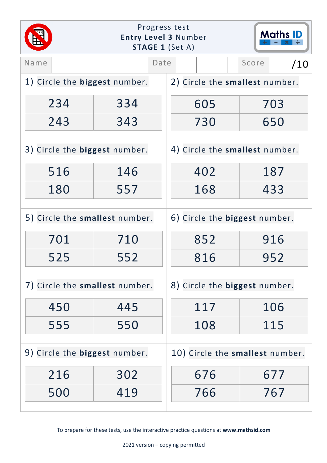| Progress test<br><b>Maths ID</b><br><b>Entry Level 3 Number</b><br><b>STAGE 1 (Set A)</b> |     |                                        |  |
|-------------------------------------------------------------------------------------------|-----|----------------------------------------|--|
|                                                                                           |     | Score<br>/10                           |  |
| 1) Circle the <b>biggest</b> number.                                                      |     |                                        |  |
| 334                                                                                       | 605 | 703                                    |  |
| 343                                                                                       | 730 | 650                                    |  |
| 3) Circle the biggest number.                                                             |     | 4) Circle the smallest number.         |  |
| 146                                                                                       | 402 | 187                                    |  |
| 557                                                                                       | 168 | 433                                    |  |
| 5) Circle the smallest number.                                                            |     | 6) Circle the biggest number.          |  |
| 710                                                                                       | 852 | 916                                    |  |
| 552                                                                                       | 816 | 952                                    |  |
| 7) Circle the smallest number.                                                            |     | 8) Circle the biggest number.          |  |
| 445                                                                                       | 117 | 106                                    |  |
| 550                                                                                       | 108 | 115                                    |  |
| 9) Circle the biggest number.                                                             |     | 10) Circle the smallest number.        |  |
| 302                                                                                       | 676 | 677                                    |  |
| 419                                                                                       | 766 | 767                                    |  |
|                                                                                           |     | Date<br>2) Circle the smallest number. |  |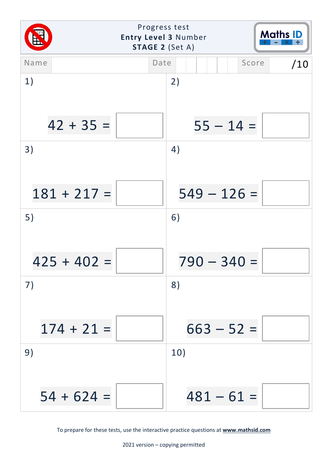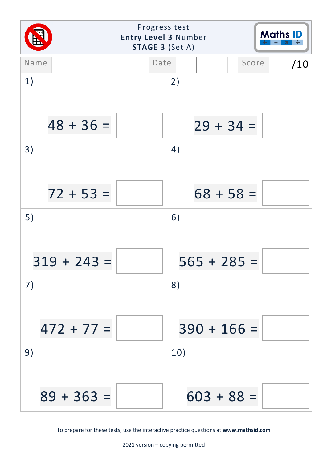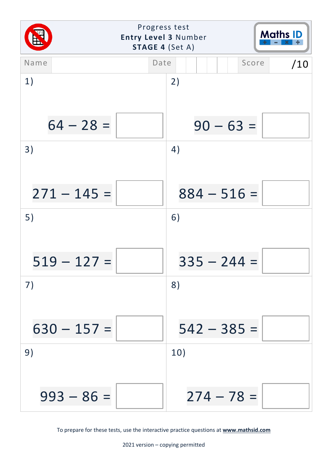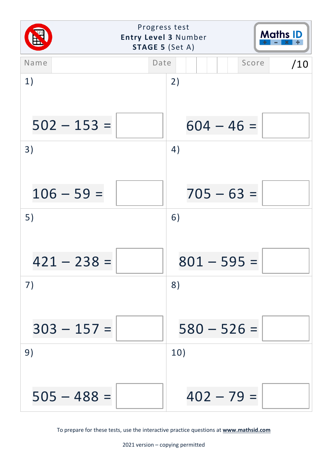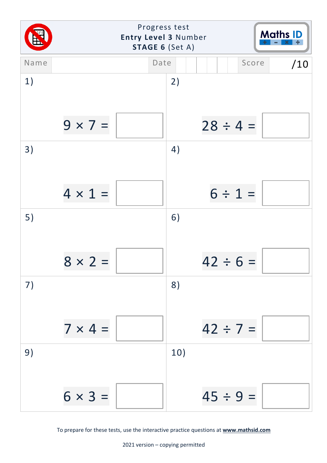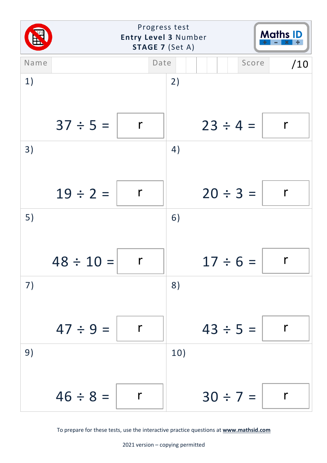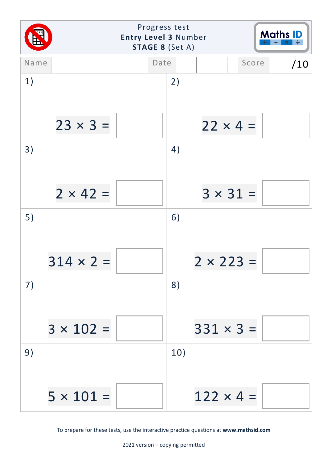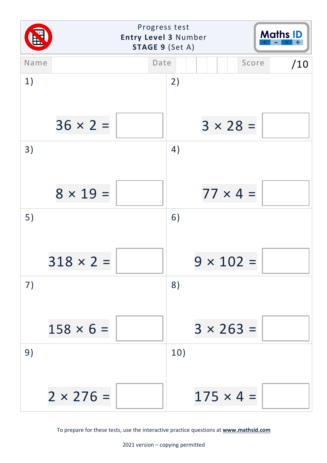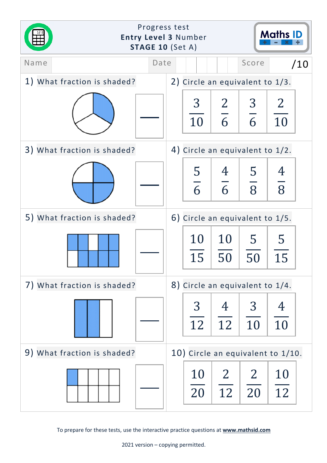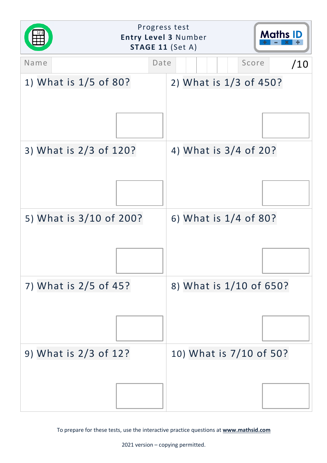